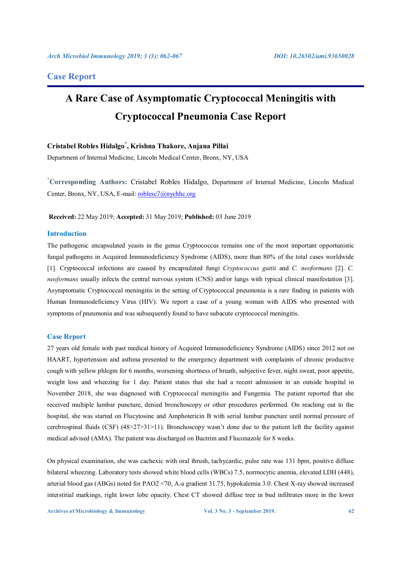# **Case Report**

# **A Rare Case of Asymptomatic Cryptococcal Meningitis with Cryptococcal Pneumonia Case Report**

# **Cristabel Robles Hidalgo\* , Krishna Thakore, Anjana Pillai**

Department of Internal Medicine, Lincoln Medical Center, Bronx, NY, USA

**\* Corresponding Authors:** Cristabel Robles Hidalgo, Department of Internal Medicine, Lincoln Medical Center, Bronx, NY, USA, E-mail: roblesc7@nychhc.org

**Received:** 22 May 2019; **Accepted:** 31 May 2019; **Published:** 03 June 2019

# **Introduction**

The pathogenic encapsulated yeasts in the genus Cryptococcus remains one of the most important opportunistic fungal pathogens in Acquired Immunodeficiency Syndrome (AIDS), more than 80% of the total cases worldwide [1]. Cryptococcal infections are caused by encapsulated fungi *Cryptococcus gattii* and *C. neoformans* [2]. *C. neoformans* usually infects the central nervous system (CNS) and/or lungs with typical clinical manifestation [3]. Asymptomatic Cryptococcal meningitis in the setting of Cryptococcal pneumonia is a rare finding in patients with Human Immunodeficiency Virus (HIV). We report a case of a young woman with AIDS who presented with symptoms of pneumonia and was subsequently found to have subacute cryptococcal meningitis.

# **Case Report**

27 years old female with past medical history of Acquired Immunodeficiency Syndrome (AIDS) since 2012 not on HAART, hypertension and asthma presented to the emergency department with complaints of chronic productive cough with yellow phlegm for 6 months, worsening shortness of breath, subjective fever, night sweat, poor appetite, weight loss and wheezing for 1 day. Patient states that she had a recent admission in an outside hospital in November 2018, she was diagnosed with Cryptococcal meningitis and Fungemia. The patient reported that she received multiple lumbar puncture, denied bronchoscopy or other procedures performed. On reaching out to the hospital, she was started on Flucytosine and Amphotericin B with serial lumbar puncture until normal pressure of cerebrospinal fluids (CSF) (48>27>31>11). Bronchoscopy wasn't done due to the patient left the facility against medical advised (AMA). The patient was discharged on Bactrim and Fluconazole for 8 weeks.

On physical examination, she was cachexic with oral thrush, tachycardic, pulse rate was 131 bpm, positive diffuse bilateral wheezing. Laboratory tests showed white blood cells (WBCs) 7.5, normocytic anemia, elevated LDH (448), arterial blood gas (ABGs) noted for PAO2 <70, A-a gradient 31.75, hypokalemia 3.0. Chest X-ray showed increased interstitial markings, right lower lobe opacity. Chest CT showed diffuse tree in bud infiltrates more in the lower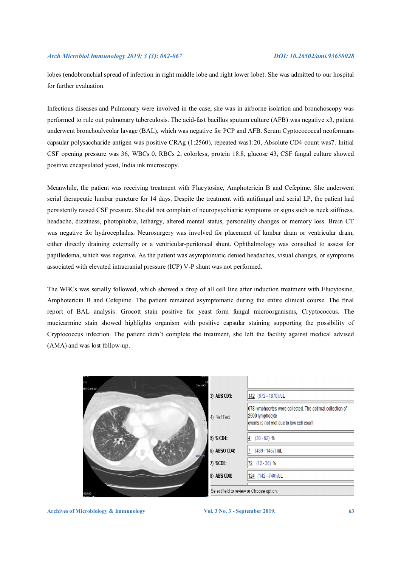#### *Arch Microbiol Immunology 2019; 3 (3): 062-067 DOI: 10.26502/ami.93650028*

lobes (endobronchial spread of infection in right middle lobe and right lower lobe). She was admitted to our hospital for further evaluation.

Infectious diseases and Pulmonary were involved in the case, she was in airborne isolation and bronchoscopy was performed to rule out pulmonary tuberculosis. The acid-fast bacillus sputum culture (AFB) was negative x3, patient underwent bronchoalveolar lavage (BAL), which was negative for PCP and AFB. Serum Cyptocococcal neoformans capsular polysaccharide antigen was positive CRAg (1:2560), repeated was1:20, Absolute CD4 count was7. Initial CSF opening pressure was 36, WBCs 0, RBCs 2, colorless, protein 18.8, glucose 43, CSF fungal culture showed positive encapsulated yeast, India ink microscopy.

Meanwhile, the patient was receiving treatment with Flucytosine, Amphotericin B and Cefepime. She underwent serial therapeutic lumbar puncture for 14 days. Despite the treatment with antifungal and serial LP, the patient had persistently raised CSF pressure. She did not complain of neuropsychiatric symptoms or signs such as neck stiffness, headache, dizziness, photophobia, lethargy, altered mental status, personality changes or memory loss. Brain CT was negative for hydrocephalus. Neurosurgery was involved for placement of lumbar drain or ventricular drain, either directly draining externally or a ventricular-peritoneal shunt. Ophthalmology was consulted to assess for papilledema, which was negative. As the patient was asymptomatic denied headaches, visual changes, or symptoms associated with elevated intracranial pressure (ICP) V-P shunt was not performed.

The WBCs was serially followed, which showed a drop of all cell line after induction treatment with Flucytosine, Amphotericin B and Cefepime. The patient remained asymptomatic during the entire clinical course. The final report of BAL analysis: Grocott stain positive for yeast form fungal microorganisms, Cryptococcus. The mucicarmine stain showed highlights organism with positive capsular staining supporting the possibility of Cryptococcus infection. The patient didn't complete the treatment, she left the facility against medical advised (AMA) and was lost follow-up.

| :15<br>Chest CT -<br>with Contrast |                                          |                                                                                                                         |
|------------------------------------|------------------------------------------|-------------------------------------------------------------------------------------------------------------------------|
|                                    | 3) ABS CD3:                              | 142 (672 - 1870) /uL                                                                                                    |
|                                    | 4) Ref Text:                             | 678 lymphocytes were collected. The optimal collection of<br>2500 lymphocyte<br>events is not met due to low cell count |
|                                    | 5) % CD4:                                | $(30 - 62)$ %<br>4                                                                                                      |
| 100 mm                             | 6) ABSO CD4:                             | (489 - 1457) /uL                                                                                                        |
|                                    | 7) %CD8:                                 | $(12 - 36)$ %<br>72                                                                                                     |
|                                    | 8) ABS CD8:                              | 124 (142 - 740) /uL                                                                                                     |
| 135.00<br><b>PAOLIF 300</b>        | Select field to review or Choose option: |                                                                                                                         |

Archives of Microbiology & Immunology **Vol. 3 No. 3 - September 2019.** 63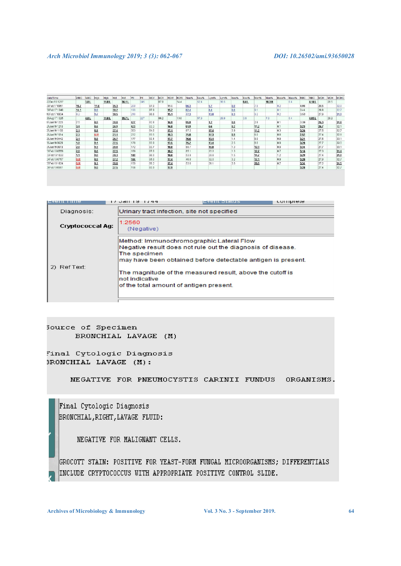| Date/Time    | <b>WBC</b> | <b>WBC</b> | IH <sub>ab</sub> | Hgb   | Hd   | Hd    | Pit | PI  | <b>MCV</b> | <b>MCV</b> | <b>RDW</b> | <b>RDW</b> | Neu% | Neu% | Lym% | Lvm% | Eos% | Eos% | Mon% | Mon%  | Baso% | Baso% | <b>RHC</b> | <b>RBC</b> | <b>MCH</b> | <b>MCH</b> | <b>MCHC</b> |
|--------------|------------|------------|------------------|-------|------|-------|-----|-----|------------|------------|------------|------------|------|------|------|------|------|------|------|-------|-------|-------|------------|------------|------------|------------|-------------|
| 22Dec16 1217 |            | 3.0 L      |                  | 11.8L |      | 36.1L |     | 245 |            | 870        |            | 144        |      | 52.4 |      | 36.5 |      | 0.4L |      | 10.3H |       | n a   |            | 4.14L      |            | 28.5       |             |
| 39Feb17 0951 | 15.7       |            | 11.6             |       | 35.3 |       | 209 |     | 87.0       |            | 15.0       |            | 86.3 |      | 5.7  |      | 0.0  |      | 7.8  |       | 0.2   |       | 4.06       |            | 28.5       |            | 32.8        |
| 39Feb171340  | 14.1       |            | 9.9              |       | 30.2 |       | 190 |     | 87.9       |            | 15.2       |            | 82.4 |      | 8.4  |      | 0.0  |      | 9.1  |       | 0.1   |       | 3.44       |            | 28.8       |            | 32.7        |
| 10Feb170834  | 6.2        |            | 9.7              |       | 30.5 |       | 216 |     | 86.6       |            | 15.1       |            | 77.3 |      | 13.0 |      | 0.3  |      | 9.2  |       | 0.2   |       | 3.53       |            | 27.6       |            | 31.9        |
| 30Aug17 1325 |            | 4.0 L      |                  | 11.8L |      | 35.7L |     | 227 |            | 88.2       |            | 13.6       |      | 57.9 |      | 29.9 |      | 3.9  |      | 7.9   |       | 0.4   |            | 4.05L      |            | 29.2       |             |
| 17Jan19 1223 | 7.5        |            | 8.9              |       | 28.0 |       | 427 |     | 82.8       |            | 16.9       |            | 95.9 |      | 1.2  |      | 0.0  |      | 2.8  |       | 0.1   |       | 3.39       |            | 26.3       |            | 31.8        |
| 21Jan19 1210 | 3.4        |            | 8.6              |       | 26.9 |       | 423 |     | 83.3       |            | 16.9       |            | 81.9 |      | 6.6  |      | 0.2  |      | 11.2 |       | 0.1   |       | 3.23       |            | 26.7       |            | 32.1        |
| 25Jan19 1103 | 2.1        |            | 8.9              |       | 27.4 |       | 303 |     | 84.0       |            | 17.1       |            | 67.2 |      | 17.4 |      | 3.9  |      | 11.2 |       | 0.3   |       | 3.26       |            | 27.5       |            | 327         |
| 28Jan19 1514 | 2.3        |            | 6.9!             |       | 21.1 |       | 232 |     | 83.5       |            | 18.3       |            | 75.0 |      | 17.3 |      | 0.9  |      | 6.0  |       | 0.8   |       | 2.52       |            | 27.4       |            | 32.8        |
| 29Jan19 0442 | 2.1        |            | 0.8              |       | 26.7 |       | 177 |     | 83.1       |            | 17.7       |            | 76.6 |      | 13.1 |      | 1.4  |      | 0,0  |       | 0.9   |       | 3.21       |            | 27.5       |            | 33.1        |
| 30Jan19 0629 | 1.9        |            | 9.1              |       | 27.5 |       | 178 |     | 83.9       |            | 17.5       |            | 75.2 |      | 13.4 |      | 2.5  |      | 8.0  |       | 0.9   |       | 3.28       |            | 27.7       |            | 33.0        |
| 31Jan19 0619 | 2.0        |            | 9.3              |       | 28.0 |       | 172 |     | 83.7       |            | 18.0       |            | 68.7 |      | 16.8 |      | 1.3  |      | 12.3 |       | 0.9   |       | 3.34       |            | 27.7       |            | 33.1        |
| J1Feb190559  | 2.0        |            | 8.6              |       | 27.5 |       | 169 |     | 87.0       |            | 18.2       |            | 65.1 |      | 20.2 |      | 1.3  |      | 12.7 |       | 0.7   |       | 3.16       |            | 27.3       |            | 31.4        |
| 33Feb191033  | 1.1        |            | 9.0              |       | 28.3 |       | 149 |     | 86.0       |            | 18.0       |            | 53.8 |      | 28.8 |      | 1.5  |      | 14.7 |       | 1.2   |       | 3.29       |            | 274        |            | 31.9        |
| J4Feb190757  | 0.8!       |            | 8.9              |       | 27.2 |       | 144 |     | 85.0       |            | 17.4       |            | 46.8 |      | 32.0 |      | 3.2  |      | 17.1 |       | 0.9   |       | 3.20       |            | 27.8       |            | 32.7        |
| 35Feb191624  | 0.9!       |            | 9.1              |       | 28.8 |       | 150 |     | 86.2       |            | 17.4       |            | 53.6 |      | 21.1 |      | 3.8  |      | 20.8 |       | 0.7   |       | 3.34       |            | 27.2       |            | 31.5        |
| 16Feb190551  | 0.8!       |            | 9.0              |       | 27.5 |       | 156 |     | 83.9       |            | 17.9       |            |      |      |      |      |      |      |      |       |       |       | 3.28       |            | 27.4       |            | 32.7        |

|                         | I/Jahl 121 1744                                                                                                                                                                                                                                                                                                   | - 42   10   21   21   21 | uunpiete |
|-------------------------|-------------------------------------------------------------------------------------------------------------------------------------------------------------------------------------------------------------------------------------------------------------------------------------------------------------------|--------------------------|----------|
| Diagnosis:              | Urinary tract infection, site not specified                                                                                                                                                                                                                                                                       |                          |          |
| <b>Cryptococcal Ag:</b> | 1:2560<br>(Negative)                                                                                                                                                                                                                                                                                              |                          |          |
| 2) RefText:             | Method: Immunochromographic Lateral Flow<br>Negative result does not rule out the diagnosis of disease.<br>The specimen<br>may have been obtained before detectable antigen is present.<br>The magnitude of the measured result, above the cutoff is<br>not indicative<br>of the total amount of antigen present. |                          |          |

Source of Specimen BRONCHIAL LAVAGE (M)

Final Cytologic Diagnosis 3RONCHIAL LAVAGE (M):

NEGATIVE FOR PNEUMOCYSTIS CARINII FUNDUS ORGANISMS.

Final Cytologic Diagnosis BRONCHIAL, RIGHT, LAVAGE FLUID:

NEGATIVE FOR MALIGNANT CELLS.

GROCOTT STAIN: POSITIVE FOR YEAST-FORM FUNGAL MICROORGANISMS; DIFFERENTIALS INCLUDE CRYPTOCOCCUS WITH APPROPRIATE POSITIVE CONTROL SLIDE.

**Archives of Microbiology & Immunology Vol. 3 No. 3 - September 2019. 64**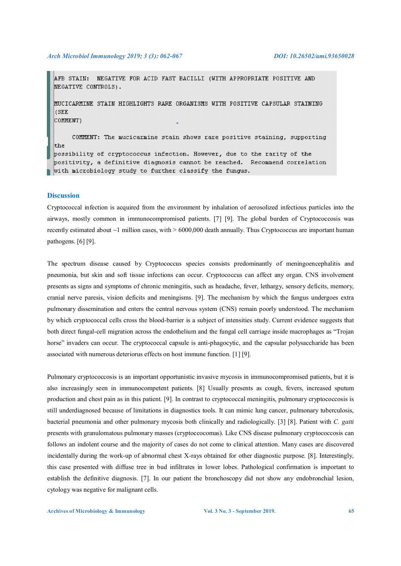#### *Arch Microbiol Immunology 2019; 3 (3): 062-067 DOI: 10.26502/ami.93650028*

AFB STAIN: NEGATIVE FOR ACID FAST BACILLI (WITH APPROPRIATE POSITIVE AND NEGATIVE CONTROLS).

MUCICARMINE STAIN HIGHLIGHTS RARE ORGANISMS WITH POSITIVE CAPSULAR STAINING **ISEE** 

COMMENT)

COMMENT: The mucicarmine stain shows rare positive staining, supporting the possibility of cryptococcus infection. However, due to the rarity of the positivity, a definitive diagnosis cannot be reached. Recommend correlation with microbiology study to further classify the fungus.

# **Discussion**

Cryptococcal infection is acquired from the environment by inhalation of aerosolized infectious particles into the airways, mostly common in immunocompromised patients. [7] [9]. The global burden of Cryptococcosis was recently estimated about ~1 million cases, with > 6000,000 death annually. Thus Cryptococcus are important human pathogens. [6] [9].

The spectrum disease caused by Cryptococcus species consists predominantly of meningoencephalitis and pneumonia, but skin and soft tissue infections can occur. Cryptococcus can affect any organ. CNS involvement presents as signs and symptoms of chronic meningitis, such as headache, fever, lethargy, sensory deficits, memory, cranial nerve paresis, vision deficits and meningisms. [9]. The mechanism by which the fungus undergoes extra pulmonary dissemination and enters the central nervous system (CNS) remain poorly understood. The mechanism by which cryptococcal cells cross the blood-barrier is a subject of intensities study. Current evidence suggests that both direct fungal-cell migration across the endothelium and the fungal cell carriage inside macrophages as "Trojan horse" invaders can occur. The cryptococcal capsule is anti-phagocytic, and the capsular polysaccharide has been associated with numerous deteriorus effects on host immune function. [1] [9].

Pulmonary cryptococcosis is an important opportunistic invasive mycosis in immunocompromised patients, but it is also increasingly seen in immunocompetent patients. [8] Usually presents as cough, fevers, increased sputum production and chest pain as in this patient. [9]. In contrast to cryptococcal meningitis, pulmonary cryptococcosis is still underdiagnosed because of limitations in diagnostics tools. It can mimic lung cancer, pulmonary tuberculosis, bacterial pneumonia and other pulmonary mycosis both clinically and radiologically. [3] [8]. Patient with *C. gatti* presents with granulomatous pulmonary masses (cryptoccocomas). Like CNS disease pulmonary cryptococcosis can follows an indolent course and the majority of cases do not come to clinical attention. Many cases are discovered incidentally during the work-up of abnormal chest X-rays obtained for other diagnostic purpose. [8]. Interestingly, this case presented with diffuse tree in bud infiltrates in lower lobes. Pathological confirmation is important to establish the definitive diagnosis. [7]. In our patient the bronchoscopy did not show any endobronchial lesion, cytology was negative for malignant cells.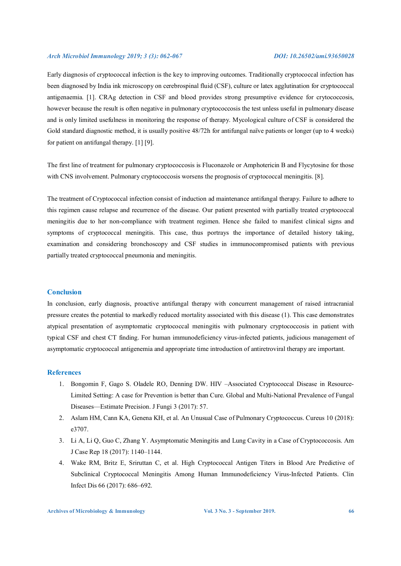### *Arch Microbiol Immunology 2019; 3 (3): 062-067 DOI: 10.26502/ami.93650028*

Early diagnosis of cryptococcal infection is the key to improving outcomes. Traditionally cryptococcal infection has been diagnosed by India ink microscopy on cerebrospinal fluid (CSF), culture or latex agglutination for cryptococcal antigenaemia. [1]. CRAg detection in CSF and blood provides strong presumptive evidence for crytococcosis, however because the result is often negative in pulmonary cryptococcosis the test unless useful in pulmonary disease and is only limited usefulness in monitoring the response of therapy. Mycological culture of CSF is considered the Gold standard diagnostic method, it is usually positive  $48/72h$  for antifungal naïve patients or longer (up to 4 weeks) for patient on antifungal therapy. [1] [9].

The first line of treatment for pulmonary cryptococcosis is Fluconazole or Amphotericin B and Flycytosine for those with CNS involvement. Pulmonary cryptococcosis worsens the prognosis of cryptococcal meningitis. [8].

The treatment of Cryptococcal infection consist of induction ad maintenance antifungal therapy. Failure to adhere to this regimen cause relapse and recurrence of the disease. Our patient presented with partially treated cryptococcal meningitis due to her non-compliance with treatment regimen. Hence she failed to manifest clinical signs and symptoms of cryptococcal meningitis. This case, thus portrays the importance of detailed history taking, examination and considering bronchoscopy and CSF studies in immunocompromised patients with previous partially treated cryptococcal pneumonia and meningitis.

# **Conclusion**

In conclusion, early diagnosis, proactive antifungal therapy with concurrent management of raised intracranial pressure creates the potential to markedly reduced mortality associated with this disease (1). This case demonstrates atypical presentation of asymptomatic cryptococcal meningitis with pulmonary cryptococcosis in patient with typical CSF and chest CT finding. For human immunodeficiency virus-infected patients, judicious management of asymptomatic cryptococcal antigenemia and appropriate time introduction of antiretroviral therapy are important.

# **References**

- 1. Bongomin F, Gago S. Oladele RO, Denning DW. HIV –Associated Cryptococcal Disease in Resource-Limited Setting: A case for Prevention is better than Cure. Global and Multi-National Prevalence of Fungal Diseases—Estimate Precision. J Fungi 3 (2017): 57.
- 2. Aslam HM, Cann KA, Genena KH, et al. An Unusual Case of Pulmonary Cryptococcus. Cureus 10 (2018): e3707.
- 3. Li A, Li Q, Guo C, Zhang Y. Asymptomatic Meningitis and Lung Cavity in a Case of Cryptococcosis. Am J Case Rep 18 (2017): 1140–1144.
- 4. Wake RM, Britz E, Sriruttan C, et al. High Cryptococcal Antigen Titers in Blood Are Predictive of Subclinical Cryptococcal Meningitis Among Human Immunodeficiency Virus-Infected Patients. Clin Infect Dis 66 (2017): 686–692.